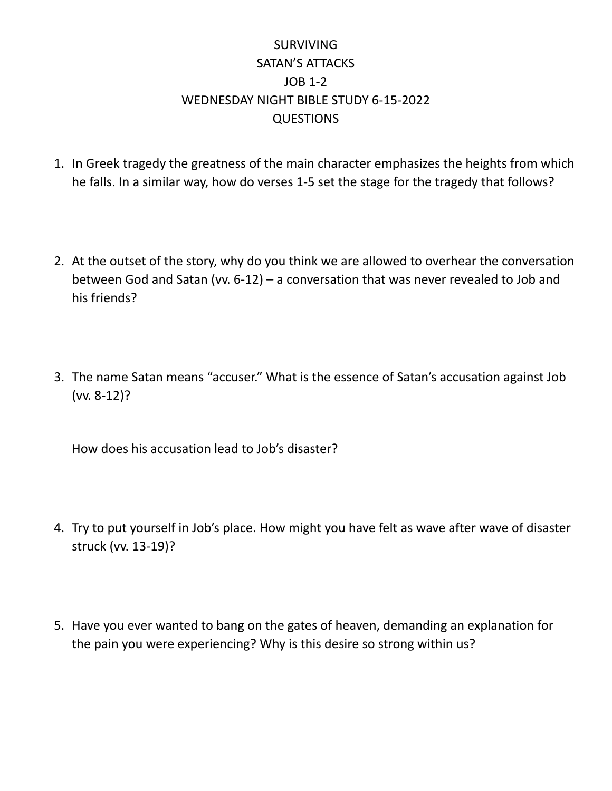## SURVIVING SATAN'S ATTACKS JOB 1-2 WEDNESDAY NIGHT BIBLE STUDY 6-15-2022 **QUESTIONS**

- 1. In Greek tragedy the greatness of the main character emphasizes the heights from which he falls. In a similar way, how do verses 1-5 set the stage for the tragedy that follows?
- 2. At the outset of the story, why do you think we are allowed to overhear the conversation between God and Satan (vv. 6-12) – a conversation that was never revealed to Job and his friends?
- 3. The name Satan means "accuser." What is the essence of Satan's accusation against Job (vv. 8-12)?

How does his accusation lead to Job's disaster?

- 4. Try to put yourself in Job's place. How might you have felt as wave after wave of disaster struck (vv. 13-19)?
- 5. Have you ever wanted to bang on the gates of heaven, demanding an explanation for the pain you were experiencing? Why is this desire so strong within us?